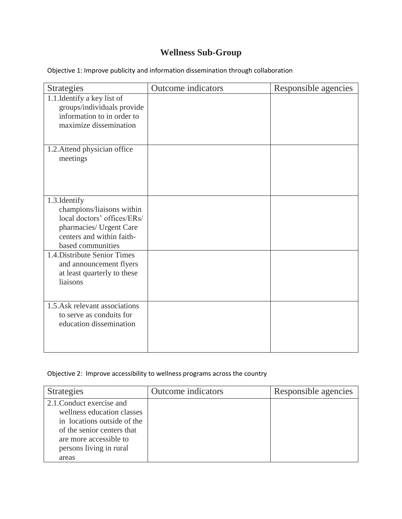## **Wellness Sub-Group**

Objective 1: Improve publicity and information dissemination through collaboration

| <b>Strategies</b>                                                                                                                                      | Outcome indicators | Responsible agencies |
|--------------------------------------------------------------------------------------------------------------------------------------------------------|--------------------|----------------------|
| 1.1. Identify a key list of<br>groups/individuals provide<br>information to in order to<br>maximize dissemination                                      |                    |                      |
| 1.2. Attend physician office<br>meetings                                                                                                               |                    |                      |
| 1.3. Identify<br>champions/liaisons within<br>local doctors' offices/ERs/<br>pharmacies/ Urgent Care<br>centers and within faith-<br>based communities |                    |                      |
| 1.4. Distribute Senior Times<br>and announcement flyers<br>at least quarterly to these<br>liaisons                                                     |                    |                      |
| 1.5. Ask relevant associations<br>to serve as conduits for<br>education dissemination                                                                  |                    |                      |

## Objective 2: Improve accessibility to wellness programs across the country

| <b>Strategies</b>                                                                                                                                                                  | Outcome indicators | Responsible agencies |
|------------------------------------------------------------------------------------------------------------------------------------------------------------------------------------|--------------------|----------------------|
| 2.1. Conduct exercise and<br>wellness education classes<br>in locations outside of the<br>of the senior centers that<br>are more accessible to<br>persons living in rural<br>areas |                    |                      |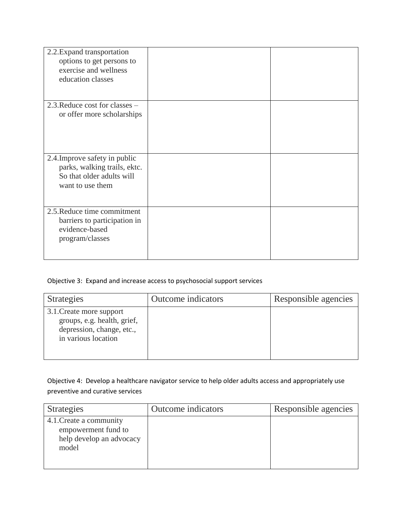| 2.2. Expand transportation<br>options to get persons to<br>exercise and wellness<br>education classes          |  |
|----------------------------------------------------------------------------------------------------------------|--|
| 2.3. Reduce cost for classes –<br>or offer more scholarships                                                   |  |
| 2.4. Improve safety in public<br>parks, walking trails, ektc.<br>So that older adults will<br>want to use them |  |
| 2.5. Reduce time commitment<br>barriers to participation in<br>evidence-based<br>program/classes               |  |

## Objective 3: Expand and increase access to psychosocial support services

| Strategies                                                                                                  | Outcome indicators | Responsible agencies |
|-------------------------------------------------------------------------------------------------------------|--------------------|----------------------|
| 3.1. Create more support<br>groups, e.g. health, grief,<br>depression, change, etc.,<br>in various location |                    |                      |

Objective 4: Develop a healthcare navigator service to help older adults access and appropriately use preventive and curative services

| Strategies                                                                          | Outcome indicators | Responsible agencies |
|-------------------------------------------------------------------------------------|--------------------|----------------------|
| 4.1. Create a community<br>empowerment fund to<br>help develop an advocacy<br>model |                    |                      |